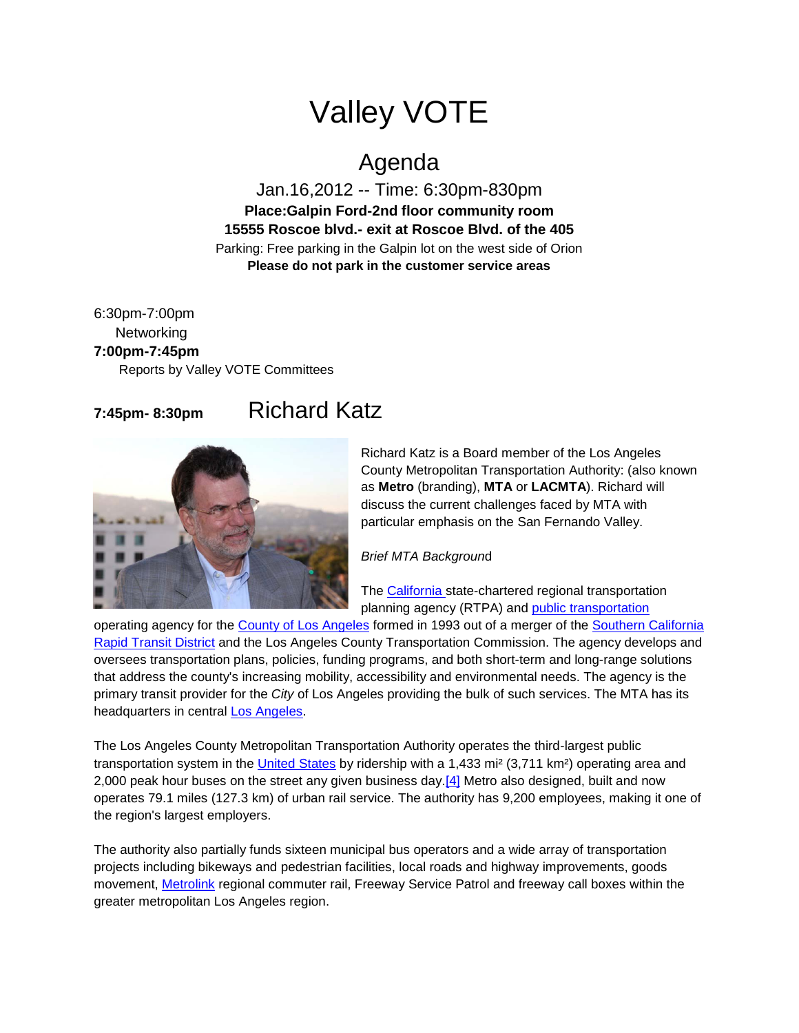## Valley VOTE

## Agenda

Jan.16,2012 -- Time: 6:30pm-830pm **Place:Galpin Ford-2nd floor community room 15555 Roscoe blvd.- exit at Roscoe Blvd. of the 405** Parking: Free parking in the Galpin lot on the west side of Orion **Please do not park in the customer service areas**

6:30pm-7:00pm **Networking 7:00pm-7:45pm** Reports by Valley VOTE Committees

## **7:45pm- 8:30pm** Richard Katz



Richard Katz is a Board member of the Los Angeles County Metropolitan Transportation Authority: (also known as **Metro** (branding), **MTA** or **LACMTA**). Richard will discuss the current challenges faced by MTA with particular emphasis on the San Fernando Valley.

*Brief MTA Backgroun*d

The [California s](http://en.wikipedia.org/wiki/California)tate-chartered regional transportation planning agency (RTPA) and [public transportation](http://en.wikipedia.org/wiki/Public_transportation)

operating agency for the [County of Los Angeles](http://en.wikipedia.org/wiki/Los_Angeles_County,_California) formed in 1993 out of a merger of the [Southern California](http://en.wikipedia.org/wiki/Southern_California_Rapid_Transit_District)  [Rapid Transit District](http://en.wikipedia.org/wiki/Southern_California_Rapid_Transit_District) and the Los Angeles County Transportation Commission. The agency develops and oversees transportation plans, policies, funding programs, and both short-term and long-range solutions that address the county's increasing mobility, accessibility and environmental needs. The agency is the primary transit provider for the *City* of Los Angeles providing the bulk of such services. The MTA has its headquarters in central [Los Angeles.](http://en.wikipedia.org/wiki/Los_Angeles)

The Los Angeles County Metropolitan Transportation Authority operates the third-largest public transportation system in the [United States](http://en.wikipedia.org/wiki/United_States) by ridership with a 1,433 mi² (3,711 km²) operating area and 2,000 peak hour buses on the street any given business day[.\[4\]](http://en.wikipedia.org/wiki/Los_Angeles_County_Metropolitan_Transportation_Authority#cite_note-3) Metro also designed, built and now operates 79.1 miles (127.3 km) of urban rail service. The authority has 9,200 employees, making it one of the region's largest employers.

The authority also partially funds sixteen municipal bus operators and a wide array of transportation projects including bikeways and pedestrian facilities, local roads and highway improvements, goods movement, [Metrolink](http://en.wikipedia.org/wiki/Metrolink_%28Southern_California%29) regional commuter rail, Freeway Service Patrol and freeway call boxes within the greater metropolitan Los Angeles region.